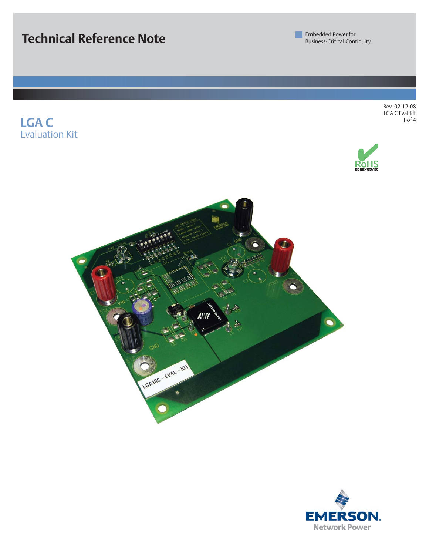**Technical Reference Note**

**LGA C**

Evaluation Kit

**Embedded Power for** Business-Critical Continuity

> Rev. 02.12.08 LGA C Eval Kit 1 of 4





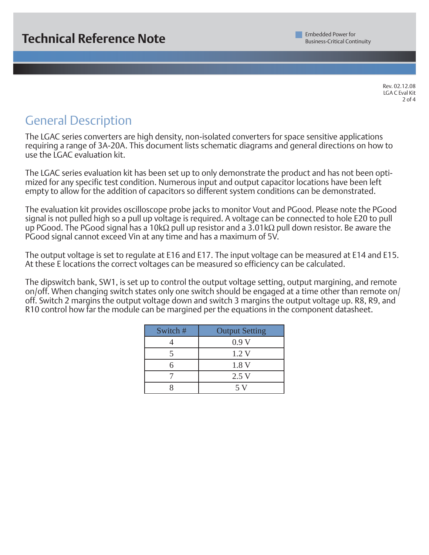Rev. 02.12.08 LGA C Eval Kit 2 of 4

# General Description

The LGAC series converters are high density, non-isolated converters for space sensitive applications requiring a range of 3A-20A. This document lists schematic diagrams and general directions on how to use the LGAC evaluation kit.

The LGAC series evaluation kit has been set up to only demonstrate the product and has not been optimized for any specific test condition. Numerous input and output capacitor locations have been left empty to allow for the addition of capacitors so different system conditions can be demonstrated.

The evaluation kit provides oscilloscope probe jacks to monitor Vout and PGood. Please note the PGood signal is not pulled high so a pull up voltage is required. A voltage can be connected to hole E20 to pull up PGood. The PGood signal has a 10kΩ pull up resistor and a 3.01kΩ pull down resistor. Be aware the PGood signal cannot exceed Vin at any time and has a maximum of 5V.

The output voltage is set to regulate at E16 and E17. The input voltage can be measured at E14 and E15. At these E locations the correct voltages can be measured so efficiency can be calculated.

The dipswitch bank, SW1, is set up to control the output voltage setting, output margining, and remote on/off. When changing switch states only one switch should be engaged at a time other than remote on/ off. Switch 2 margins the output voltage down and switch 3 margins the output voltage up. R8, R9, and R10 control how far the module can be margined per the equations in the component datasheet.

| Switch # | <b>Output Setting</b> |
|----------|-----------------------|
|          | 0.9V                  |
|          | 1.2V                  |
| 6        | 1.8 V                 |
|          | 2.5V                  |
|          | 5 V                   |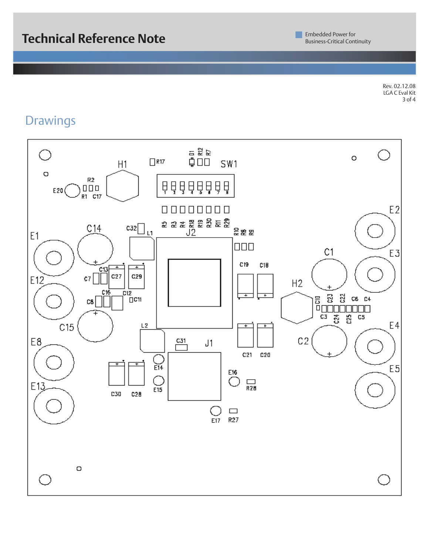Rev. 02.12.08 LGA C Eval Kit 3 of 4

### **Drawings**